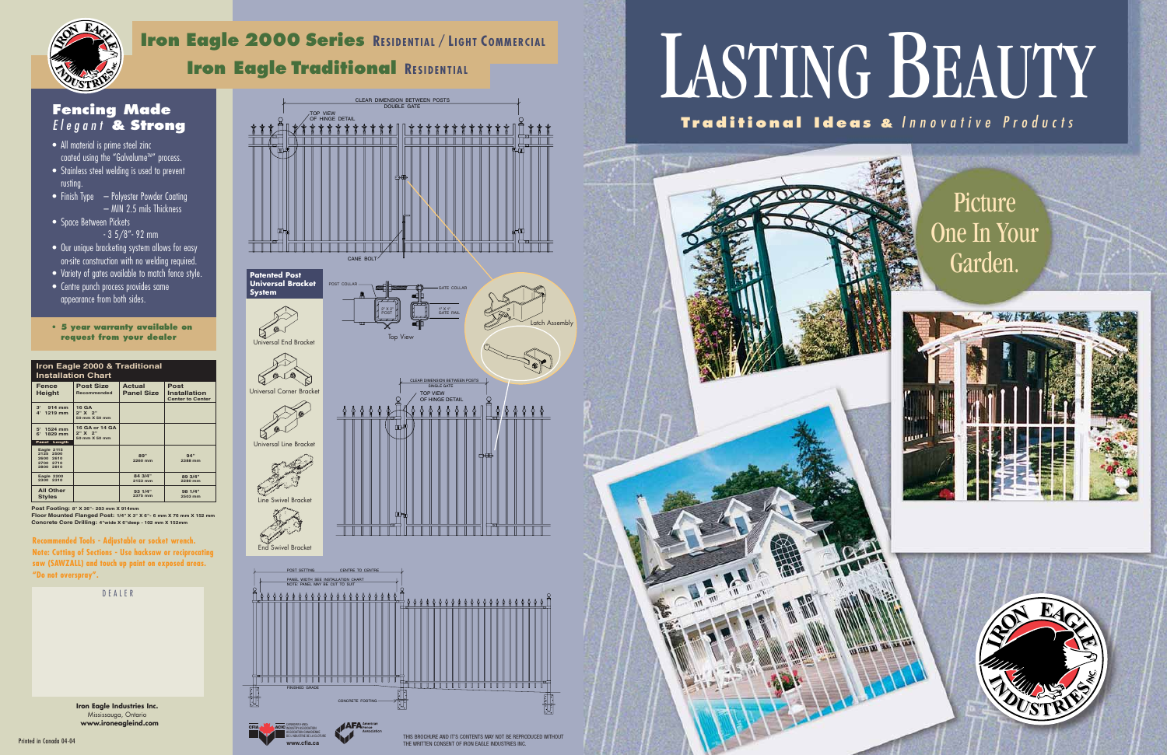## LASTING BEAUTY

**Traditional Ideas &** Innovative Products